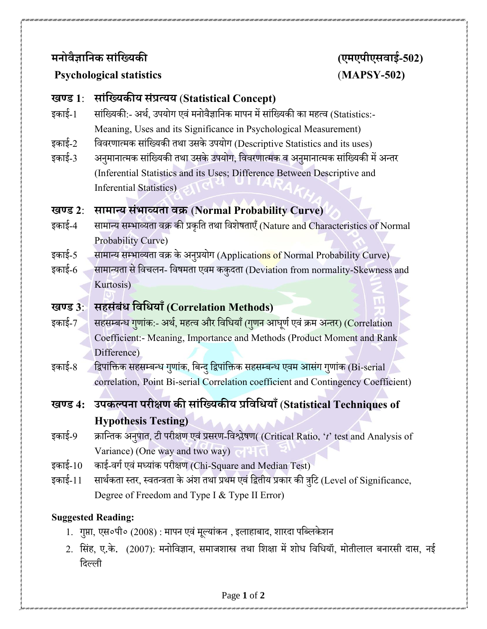## **मनोवैज्ञाननक साांनयिकी (एमएपीएसवाई-502)**

### **Psychological statistics** (**MAPSY-502)**

#### **खण्ड 1**: **साांनयिकीि सांप्रत्िि** (**Statistical Concept)**

- इकाई-1 सांख्यिकी:- अर्थ, उपयोग एवं मनोवैज्ञानिक मापन में सांख्यिकी का महत्व (Statistics:-Meaning, Uses and its Significance in Psychological Measurement)
- इकाई-2 विवरणात्मक सांख्यिकी तथा उसके उपयोग (Descriptive Statistics and its uses)
- इकाई-3 अनुमानात्मक सांख्यिकी तथा उसके उपयोग, विवरणात्मक व अनुमानात्मक सांख्यिकी में अन्तर (Inferential Statistics and its Uses; Difference Between Descriptive and Inferential Statistics)

#### **खण्ड 2**: **सामान्ि सांभाव्िता वक्र** (**Normal Probability Curve)**

- इकाई-4 सामान्य सम्भाव्यता वक्र की प्रकृति तथा विशेषताएँ (Nature and Characteristics of Normal Probability Curve)
- इकाई-5 सामान्य सम्भाव्यता वक्र के अनुप्रयोग (Applications of Normal Probability Curve)
- इकाई-6 सामान्यता से विचलन- विषमता एवम ककुदता (Deviation from normality-Skewness and Kurtosis)

# **खण्ड 3**: **सहसांबांध नवनधिााँ(Correlation Methods)**

- इकाई-7 सहसम्बन्ध <mark>गणांक:- अर्थ, महत्व और विधियाँ (गणन आघ</mark>र्ण एवं क्रम अन्तर) (Correlation Coefficient:- Meaning, Importance and Methods (Product Moment and Rank Difference)
- इकाई-8 ह्रिपांक्तिक सहसम्बन्ध गुणांक, बिन्दु द्विपांक्तिक सहसम्बन्ध एवम आसंग गुणांक (Bi-serial correlation, Point Bi-serial Correlation coefficient and Contingency Coefficient)
- **खण्ड 4: उपकल्पना परीक्षण की साांनयिकीि प्रनवनधिााँ**(**Statistical Techniques of Hypothesis Testing)**
- इकाई-9 क्राख्न्तक अनपुात, टी परीक्षण एवांप्रसरण-ख्वश्लेषण( (Critical Ratio, '*t*' test and Analysis of Variance) (One way and two way)
- इकाई-10 काई-वर्ग एवं मध्यांक परीक्षण (Chi-Square and Median Test)
- इकाई-11 सार्थकता स्तर, स्वतन्त्रता के अंश तथा प्रथम एवं द्वितीय प्रकार की त्रुटि (Level of Significance, Degree of Freedom and Type I & Type II Error)

#### **Suggested Reading:**

- 1. गुप्ता, एस०पी० (2008) : मापन एवं मूल्यांकन , इलाहाबाद, शारदा पब्लिकेशन
- 2. सिंह, ए.के. (2007): मनोविज्ञान, समाजशास्त्र तथा शिक्षा में शोध विधियॉ, मोतीलाल बनारसी दास, नई ख्दलली